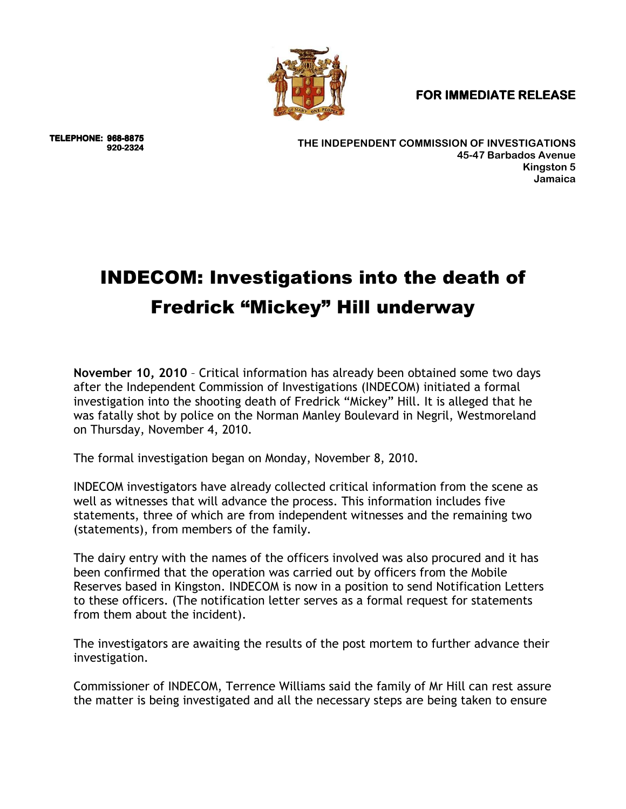## **FOR IMMEDIATE RELEASE**



**TELEPHONE: 9 TELEPHONE: 968-8875 920 920-2324** 

**THE INDEPENDENT COMMISSION OF INVESTIGATIONS 45-47 Barbados Avenue Kingston 5 Jamaica** 

## INDECOM: Investigations into the death of Fredrick "Mickey" Hill underway

**November 10, 2010** – Critical information has already been obtained some two days after the Independent Commission of Investigations (INDECOM) initiated a formal investigation into the shooting death of Fredrick "Mickey" Hill. It is alleged that he was fatally shot by police on the Norman Manley Boulevard in Negril, Westmoreland on Thursday, November 4, 2010.

The formal investigation began on Monday, November 8, 2010.

INDECOM investigators have already collected critical information from the scene as well as witnesses that will advance the process. This information includes five statements, three of which are from independent witnesses and the remaining two (statements), from members of the family.

The dairy entry with the names of the officers involved was also procured and it has been confirmed that the operation was carried out by officers from the Mobile Reserves based in Kingston. INDECOM is now in a position to send Notification Letters to these officers. (The notification letter serves as a formal request for statements from them about the incident).

The investigators are awaiting the results of the post mortem to further advance their investigation.

Commissioner of INDECOM, Terrence Williams said the family of Mr Hill can rest assure the matter is being investigated and all the necessary steps are being taken to ensure